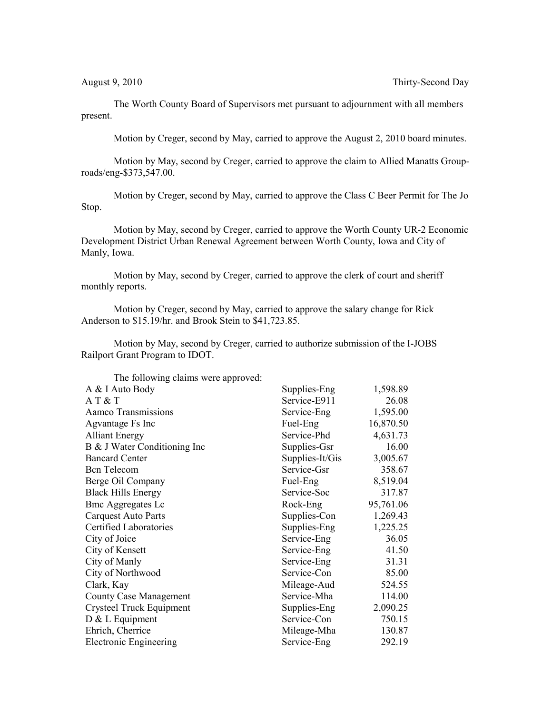August 9, 2010 Thirty-Second Day

The Worth County Board of Supervisors met pursuant to adjournment with all members present.

Motion by Creger, second by May, carried to approve the August 2, 2010 board minutes.

Motion by May, second by Creger, carried to approve the claim to Allied Manatts Grouproads/eng-\$373,547.00.

Motion by Creger, second by May, carried to approve the Class C Beer Permit for The Jo Stop.

Motion by May, second by Creger, carried to approve the Worth County UR-2 Economic Development District Urban Renewal Agreement between Worth County, Iowa and City of Manly, Iowa.

Motion by May, second by Creger, carried to approve the clerk of court and sheriff monthly reports.

Motion by Creger, second by May, carried to approve the salary change for Rick Anderson to \$15.19/hr. and Brook Stein to \$41,723.85.

Motion by May, second by Creger, carried to authorize submission of the I-JOBS Railport Grant Program to IDOT.

| The following claims were approved: |                 |           |
|-------------------------------------|-----------------|-----------|
| A & I Auto Body                     | Supplies-Eng    | 1,598.89  |
| AT&T                                | Service-E911    | 26.08     |
| Aamco Transmissions                 | Service-Eng     | 1,595.00  |
| Agvantage Fs Inc                    | Fuel-Eng        | 16,870.50 |
| <b>Alliant Energy</b>               | Service-Phd     | 4,631.73  |
| B & J Water Conditioning Inc        | Supplies-Gsr    | 16.00     |
| <b>Bancard Center</b>               | Supplies-It/Gis | 3,005.67  |
| <b>Bcn</b> Telecom                  | Service-Gsr     | 358.67    |
| Berge Oil Company                   | Fuel-Eng        | 8,519.04  |
| <b>Black Hills Energy</b>           | Service-Soc     | 317.87    |
| <b>Bmc Aggregates Lc</b>            | Rock-Eng        | 95,761.06 |
| <b>Carquest Auto Parts</b>          | Supplies-Con    | 1,269.43  |
| Certified Laboratories              | Supplies-Eng    | 1,225.25  |
| City of Joice                       | Service-Eng     | 36.05     |
| City of Kensett                     | Service-Eng     | 41.50     |
| City of Manly                       | Service-Eng     | 31.31     |
| City of Northwood                   | Service-Con     | 85.00     |
| Clark, Kay                          | Mileage-Aud     | 524.55    |
| <b>County Case Management</b>       | Service-Mha     | 114.00    |
| Crysteel Truck Equipment            | Supplies-Eng    | 2,090.25  |
| D & L Equipment                     | Service-Con     | 750.15    |
| Ehrich, Cherrice                    | Mileage-Mha     | 130.87    |
| <b>Electronic Engineering</b>       | Service-Eng     | 292.19    |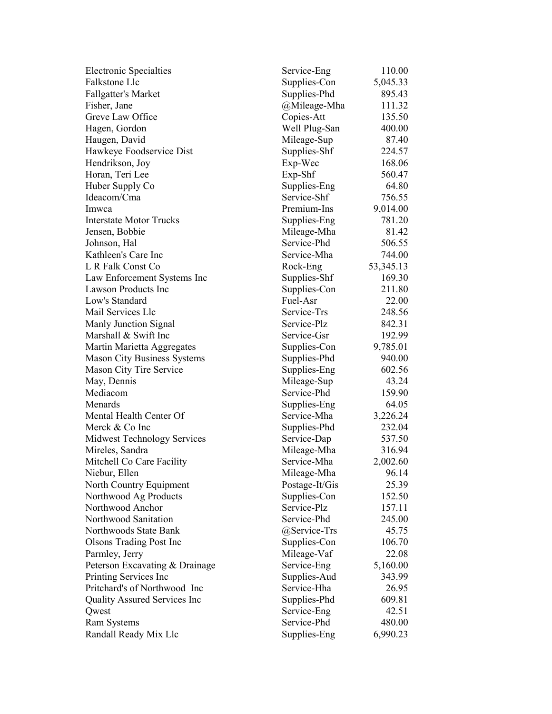| <b>Electronic Specialties</b>       | Service-Eng    | 110.00      |
|-------------------------------------|----------------|-------------|
| Falkstone Llc                       | Supplies-Con   | 5,045.33    |
| <b>Fallgatter's Market</b>          | Supplies-Phd   | 895.43      |
| Fisher, Jane                        | @Mileage-Mha   | 111.32      |
| Greve Law Office                    | Copies-Att     | 135.50      |
| Hagen, Gordon                       | Well Plug-San  | 400.00      |
| Haugen, David                       | Mileage-Sup    | 87.40       |
| Hawkeye Foodservice Dist            | Supplies-Shf   | 224.57      |
| Hendrikson, Joy                     | Exp-Wec        | 168.06      |
| Horan, Teri Lee                     | $Exp-Shf$      | 560.47      |
| Huber Supply Co                     | Supplies-Eng   | 64.80       |
| Ideacom/Cma                         | Service-Shf    | 756.55      |
| Imwca                               | Premium-Ins    | 9,014.00    |
| <b>Interstate Motor Trucks</b>      | Supplies-Eng   | 781.20      |
| Jensen, Bobbie                      | Mileage-Mha    | 81.42       |
| Johnson, Hal                        | Service-Phd    | 506.55      |
| Kathleen's Care Inc                 | Service-Mha    | 744.00      |
| L R Falk Const Co                   | Rock-Eng       | 53, 345. 13 |
| Law Enforcement Systems Inc         | Supplies-Shf   | 169.30      |
| <b>Lawson Products Inc</b>          | Supplies-Con   | 211.80      |
| Low's Standard                      | Fuel-Asr       | 22.00       |
| Mail Services Llc                   | Service-Trs    | 248.56      |
| Manly Junction Signal               | Service-Plz    | 842.31      |
| Marshall & Swift Inc                | Service-Gsr    |             |
|                                     |                | 192.99      |
| Martin Marietta Aggregates          | Supplies-Con   | 9,785.01    |
| <b>Mason City Business Systems</b>  | Supplies-Phd   | 940.00      |
| Mason City Tire Service             | Supplies-Eng   | 602.56      |
| May, Dennis                         | Mileage-Sup    | 43.24       |
| Mediacom                            | Service-Phd    | 159.90      |
| Menards                             | Supplies-Eng   | 64.05       |
| Mental Health Center Of             | Service-Mha    | 3,226.24    |
| Merck & Co Inc                      | Supplies-Phd   | 232.04      |
| Midwest Technology Services         | Service-Dap    | 537.50      |
| Mireles, Sandra                     | Mileage-Mha    | 316.94      |
| Mitchell Co Care Facility           | Service-Mha    | 2,002.60    |
| Niebur, Ellen                       | Mileage-Mha    | 96.14       |
| North Country Equipment             | Postage-It/Gis | 25.39       |
| Northwood Ag Products               | Supplies-Con   | 152.50      |
| Northwood Anchor                    | Service-Plz    | 157.11      |
| Northwood Sanitation                | Service-Phd    | 245.00      |
| Northwoods State Bank               | @Service-Trs   | 45.75       |
| <b>Olsons Trading Post Inc</b>      | Supplies-Con   | 106.70      |
| Parmley, Jerry                      | Mileage-Vaf    | 22.08       |
| Peterson Excavating & Drainage      | Service-Eng    | 5,160.00    |
| Printing Services Inc               | Supplies-Aud   | 343.99      |
| Pritchard's of Northwood Inc        | Service-Hha    | 26.95       |
| <b>Quality Assured Services Inc</b> | Supplies-Phd   | 609.81      |
| Qwest                               | Service-Eng    | 42.51       |
| <b>Ram Systems</b>                  | Service-Phd    | 480.00      |
| Randall Ready Mix Llc               | Supplies-Eng   | 6,990.23    |